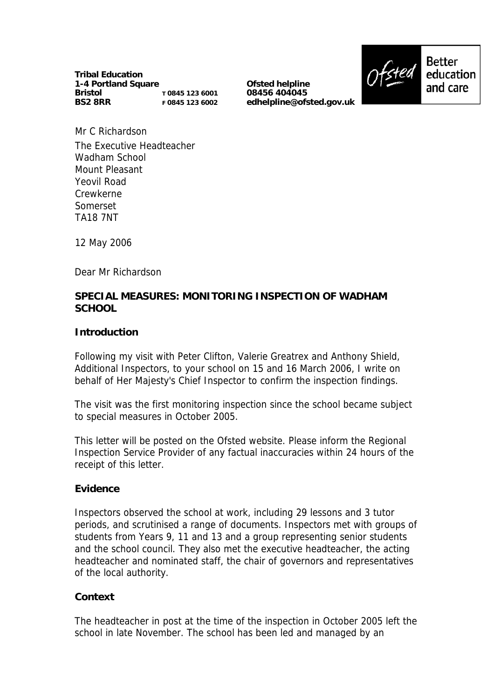**Tribal Education 1-4 Portland Square Bristol BS2 8RR T 0845 123 6001 F 0845 123 6002**

**Ofsted helpline 08456 404045 edhelpline@ofsted.gov.uk**



Mr C Richardson The Executive Headteacher Wadham School Mount Pleasant Yeovil Road Crewkerne Somerset TA18 7NT

12 May 2006

Dear Mr Richardson

## **SPECIAL MEASURES: MONITORING INSPECTION OF WADHAM SCHOOL**

#### **Introduction**

Following my visit with Peter Clifton, Valerie Greatrex and Anthony Shield, Additional Inspectors, to your school on 15 and 16 March 2006, I write on behalf of Her Majesty's Chief Inspector to confirm the inspection findings.

The visit was the first monitoring inspection since the school became subject to special measures in October 2005.

This letter will be posted on the Ofsted website. Please inform the Regional Inspection Service Provider of any factual inaccuracies within 24 hours of the receipt of this letter.

#### **Evidence**

Inspectors observed the school at work, including 29 lessons and 3 tutor periods, and scrutinised a range of documents. Inspectors met with groups of students from Years 9, 11 and 13 and a group representing senior students and the school council. They also met the executive headteacher, the acting headteacher and nominated staff, the chair of governors and representatives of the local authority.

## **Context**

The headteacher in post at the time of the inspection in October 2005 left the school in late November. The school has been led and managed by an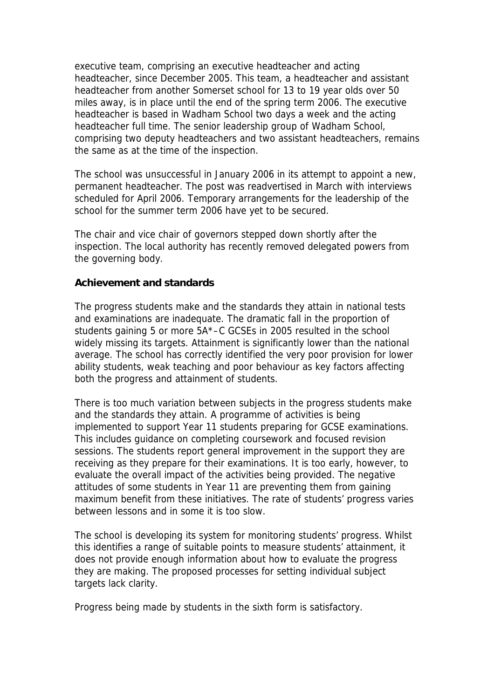executive team, comprising an executive headteacher and acting headteacher, since December 2005. This team, a headteacher and assistant headteacher from another Somerset school for 13 to 19 year olds over 50 miles away, is in place until the end of the spring term 2006. The executive headteacher is based in Wadham School two days a week and the acting headteacher full time. The senior leadership group of Wadham School, comprising two deputy headteachers and two assistant headteachers, remains the same as at the time of the inspection.

The school was unsuccessful in January 2006 in its attempt to appoint a new, permanent headteacher. The post was readvertised in March with interviews scheduled for April 2006. Temporary arrangements for the leadership of the school for the summer term 2006 have yet to be secured.

The chair and vice chair of governors stepped down shortly after the inspection. The local authority has recently removed delegated powers from the governing body.

#### **Achievement and standards**

The progress students make and the standards they attain in national tests and examinations are inadequate. The dramatic fall in the proportion of students gaining 5 or more 5A\*–C GCSEs in 2005 resulted in the school widely missing its targets. Attainment is significantly lower than the national average. The school has correctly identified the very poor provision for lower ability students, weak teaching and poor behaviour as key factors affecting both the progress and attainment of students.

There is too much variation between subjects in the progress students make and the standards they attain. A programme of activities is being implemented to support Year 11 students preparing for GCSE examinations. This includes guidance on completing coursework and focused revision sessions. The students report general improvement in the support they are receiving as they prepare for their examinations. It is too early, however, to evaluate the overall impact of the activities being provided. The negative attitudes of some students in Year 11 are preventing them from gaining maximum benefit from these initiatives. The rate of students' progress varies between lessons and in some it is too slow.

The school is developing its system for monitoring students' progress. Whilst this identifies a range of suitable points to measure students' attainment, it does not provide enough information about how to evaluate the progress they are making. The proposed processes for setting individual subject targets lack clarity.

Progress being made by students in the sixth form is satisfactory.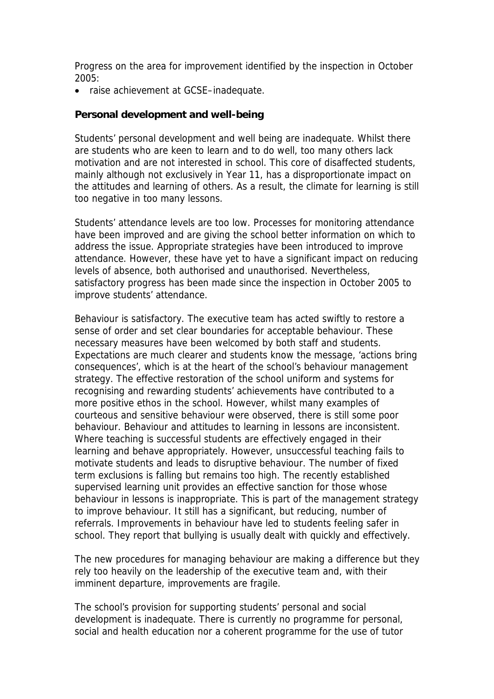Progress on the area for improvement identified by the inspection in October 2005:

• raise achievement at GCSE–inadequate.

#### **Personal development and well-being**

Students' personal development and well being are inadequate. Whilst there are students who are keen to learn and to do well, too many others lack motivation and are not interested in school. This core of disaffected students, mainly although not exclusively in Year 11, has a disproportionate impact on the attitudes and learning of others. As a result, the climate for learning is still too negative in too many lessons.

Students' attendance levels are too low. Processes for monitoring attendance have been improved and are giving the school better information on which to address the issue. Appropriate strategies have been introduced to improve attendance. However, these have yet to have a significant impact on reducing levels of absence, both authorised and unauthorised. Nevertheless, satisfactory progress has been made since the inspection in October 2005 to improve students' attendance.

Behaviour is satisfactory. The executive team has acted swiftly to restore a sense of order and set clear boundaries for acceptable behaviour. These necessary measures have been welcomed by both staff and students. Expectations are much clearer and students know the message, 'actions bring consequences', which is at the heart of the school's behaviour management strategy. The effective restoration of the school uniform and systems for recognising and rewarding students' achievements have contributed to a more positive ethos in the school. However, whilst many examples of courteous and sensitive behaviour were observed, there is still some poor behaviour. Behaviour and attitudes to learning in lessons are inconsistent. Where teaching is successful students are effectively engaged in their learning and behave appropriately. However, unsuccessful teaching fails to motivate students and leads to disruptive behaviour. The number of fixed term exclusions is falling but remains too high. The recently established supervised learning unit provides an effective sanction for those whose behaviour in lessons is inappropriate. This is part of the management strategy to improve behaviour. It still has a significant, but reducing, number of referrals. Improvements in behaviour have led to students feeling safer in school. They report that bullying is usually dealt with quickly and effectively.

The new procedures for managing behaviour are making a difference but they rely too heavily on the leadership of the executive team and, with their imminent departure, improvements are fragile.

The school's provision for supporting students' personal and social development is inadequate. There is currently no programme for personal, social and health education nor a coherent programme for the use of tutor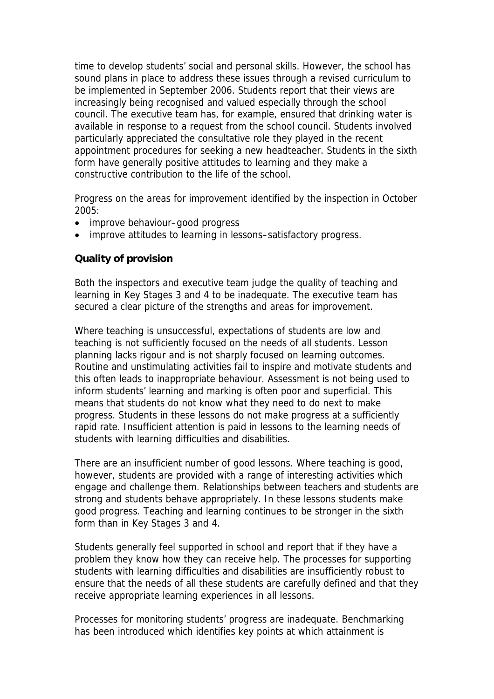time to develop students' social and personal skills. However, the school has sound plans in place to address these issues through a revised curriculum to be implemented in September 2006. Students report that their views are increasingly being recognised and valued especially through the school council. The executive team has, for example, ensured that drinking water is available in response to a request from the school council. Students involved particularly appreciated the consultative role they played in the recent appointment procedures for seeking a new headteacher. Students in the sixth form have generally positive attitudes to learning and they make a constructive contribution to the life of the school.

Progress on the areas for improvement identified by the inspection in October 2005:

- improve behaviour–good progress
- improve attitudes to learning in lessons–satisfactory progress.

## **Quality of provision**

Both the inspectors and executive team judge the quality of teaching and learning in Key Stages 3 and 4 to be inadequate. The executive team has secured a clear picture of the strengths and areas for improvement.

Where teaching is unsuccessful, expectations of students are low and teaching is not sufficiently focused on the needs of all students. Lesson planning lacks rigour and is not sharply focused on learning outcomes. Routine and unstimulating activities fail to inspire and motivate students and this often leads to inappropriate behaviour. Assessment is not being used to inform students' learning and marking is often poor and superficial. This means that students do not know what they need to do next to make progress. Students in these lessons do not make progress at a sufficiently rapid rate. Insufficient attention is paid in lessons to the learning needs of students with learning difficulties and disabilities.

There are an insufficient number of good lessons. Where teaching is good, however, students are provided with a range of interesting activities which engage and challenge them. Relationships between teachers and students are strong and students behave appropriately. In these lessons students make good progress. Teaching and learning continues to be stronger in the sixth form than in Key Stages 3 and 4.

Students generally feel supported in school and report that if they have a problem they know how they can receive help. The processes for supporting students with learning difficulties and disabilities are insufficiently robust to ensure that the needs of all these students are carefully defined and that they receive appropriate learning experiences in all lessons.

Processes for monitoring students' progress are inadequate. Benchmarking has been introduced which identifies key points at which attainment is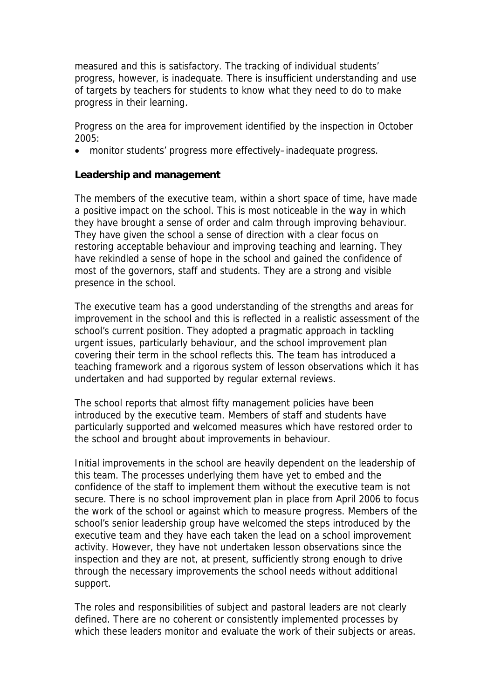measured and this is satisfactory. The tracking of individual students' progress, however, is inadequate. There is insufficient understanding and use of targets by teachers for students to know what they need to do to make progress in their learning.

Progress on the area for improvement identified by the inspection in October 2005:

• monitor students' progress more effectively–inadequate progress.

## **Leadership and management**

The members of the executive team, within a short space of time, have made a positive impact on the school. This is most noticeable in the way in which they have brought a sense of order and calm through improving behaviour. They have given the school a sense of direction with a clear focus on restoring acceptable behaviour and improving teaching and learning. They have rekindled a sense of hope in the school and gained the confidence of most of the governors, staff and students. They are a strong and visible presence in the school.

The executive team has a good understanding of the strengths and areas for improvement in the school and this is reflected in a realistic assessment of the school's current position. They adopted a pragmatic approach in tackling urgent issues, particularly behaviour, and the school improvement plan covering their term in the school reflects this. The team has introduced a teaching framework and a rigorous system of lesson observations which it has undertaken and had supported by regular external reviews.

The school reports that almost fifty management policies have been introduced by the executive team. Members of staff and students have particularly supported and welcomed measures which have restored order to the school and brought about improvements in behaviour.

Initial improvements in the school are heavily dependent on the leadership of this team. The processes underlying them have yet to embed and the confidence of the staff to implement them without the executive team is not secure. There is no school improvement plan in place from April 2006 to focus the work of the school or against which to measure progress. Members of the school's senior leadership group have welcomed the steps introduced by the executive team and they have each taken the lead on a school improvement activity. However, they have not undertaken lesson observations since the inspection and they are not, at present, sufficiently strong enough to drive through the necessary improvements the school needs without additional support.

The roles and responsibilities of subject and pastoral leaders are not clearly defined. There are no coherent or consistently implemented processes by which these leaders monitor and evaluate the work of their subjects or areas.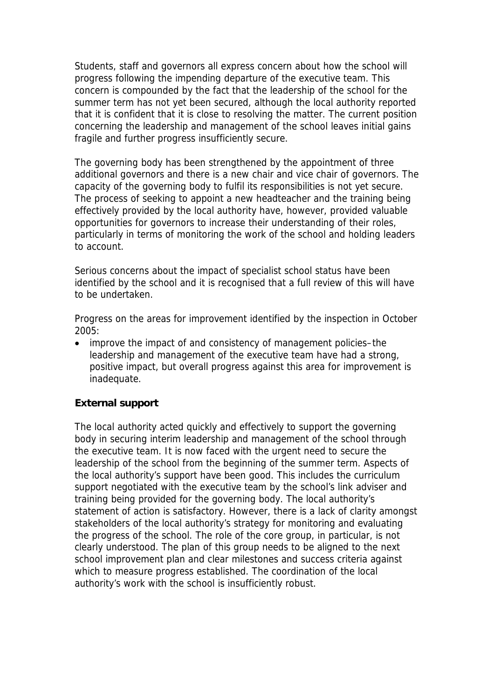Students, staff and governors all express concern about how the school will progress following the impending departure of the executive team. This concern is compounded by the fact that the leadership of the school for the summer term has not yet been secured, although the local authority reported that it is confident that it is close to resolving the matter. The current position concerning the leadership and management of the school leaves initial gains fragile and further progress insufficiently secure.

The governing body has been strengthened by the appointment of three additional governors and there is a new chair and vice chair of governors. The capacity of the governing body to fulfil its responsibilities is not yet secure. The process of seeking to appoint a new headteacher and the training being effectively provided by the local authority have, however, provided valuable opportunities for governors to increase their understanding of their roles, particularly in terms of monitoring the work of the school and holding leaders to account.

Serious concerns about the impact of specialist school status have been identified by the school and it is recognised that a full review of this will have to be undertaken.

Progress on the areas for improvement identified by the inspection in October 2005:

• improve the impact of and consistency of management policies–the leadership and management of the executive team have had a strong, positive impact, but overall progress against this area for improvement is inadequate.

## **External support**

The local authority acted quickly and effectively to support the governing body in securing interim leadership and management of the school through the executive team. It is now faced with the urgent need to secure the leadership of the school from the beginning of the summer term. Aspects of the local authority's support have been good. This includes the curriculum support negotiated with the executive team by the school's link adviser and training being provided for the governing body. The local authority's statement of action is satisfactory. However, there is a lack of clarity amongst stakeholders of the local authority's strategy for monitoring and evaluating the progress of the school. The role of the core group, in particular, is not clearly understood. The plan of this group needs to be aligned to the next school improvement plan and clear milestones and success criteria against which to measure progress established. The coordination of the local authority's work with the school is insufficiently robust.